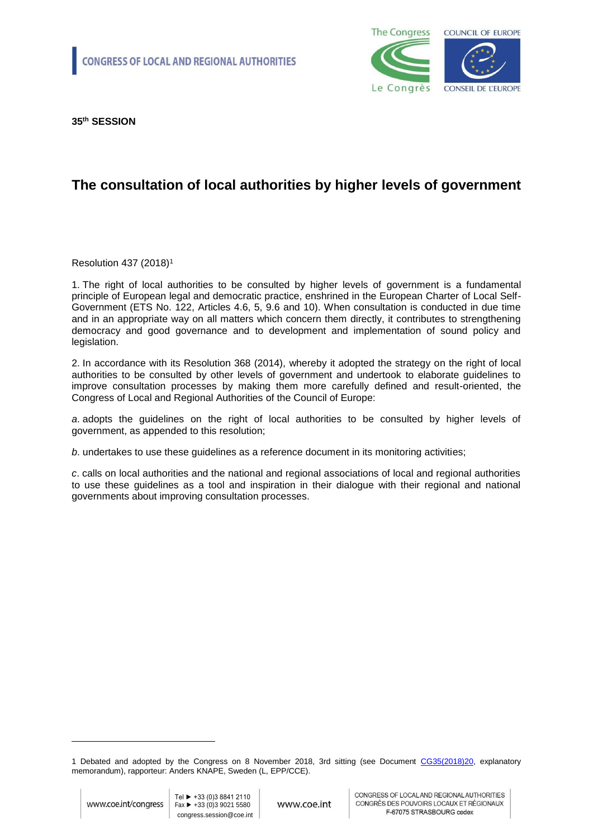

**35th SESSION**

# **The consultation of local authorities by higher levels of government**

Resolution 437 (2018)<sup>1</sup>

1. The right of local authorities to be consulted by higher levels of government is a fundamental principle of European legal and democratic practice, enshrined in the European Charter of Local Self-Government (ETS No. 122, Articles 4.6, 5, 9.6 and 10). When consultation is conducted in due time and in an appropriate way on all matters which concern them directly, it contributes to strengthening democracy and good governance and to development and implementation of sound policy and legislation.

2. In accordance with its Resolution 368 (2014), whereby it adopted the strategy on the right of local authorities to be consulted by other levels of government and undertook to elaborate guidelines to improve consultation processes by making them more carefully defined and result-oriented, the Congress of Local and Regional Authorities of the Council of Europe:

*a*. adopts the guidelines on the right of local authorities to be consulted by higher levels of government, as appended to this resolution;

*b*. undertakes to use these guidelines as a reference document in its monitoring activities;

*c*. calls on local authorities and the national and regional associations of local and regional authorities to use these guidelines as a tool and inspiration in their dialogue with their regional and national governments about improving consultation processes.

1

<sup>1</sup> Debated and adopted by the Congress on 8 November 2018, 3rd sitting (see Document [CG35\(2018\)20,](http://rm.coe.int/the-consultation-of-local-authorities-by-higher-levels-of-government-g/16808d3c72) explanatory memorandum), rapporteur: Anders KNAPE, Sweden (L, EPP/CCE).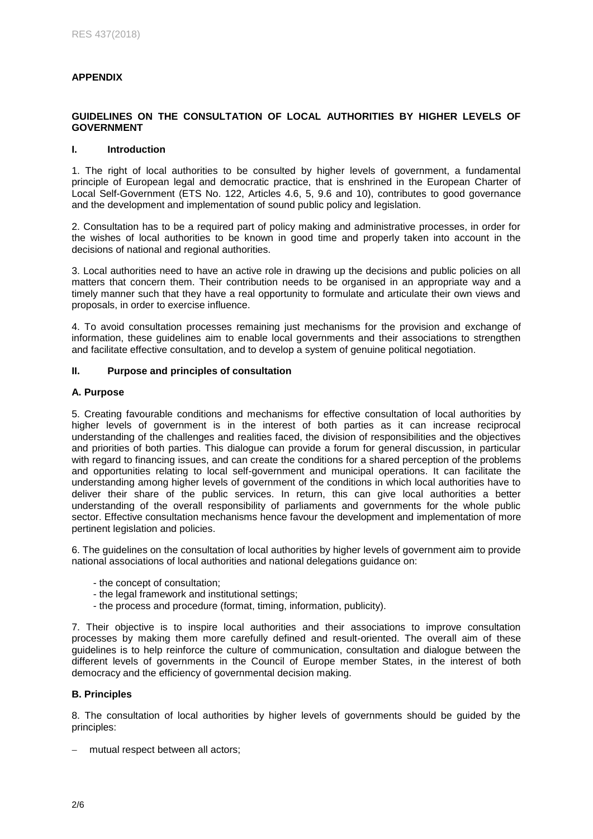# **APPENDIX**

# **GUIDELINES ON THE CONSULTATION OF LOCAL AUTHORITIES BY HIGHER LEVELS OF GOVERNMENT**

## **I. Introduction**

1. The right of local authorities to be consulted by higher levels of government, a fundamental principle of European legal and democratic practice, that is enshrined in the European Charter of Local Self-Government (ETS No. 122, Articles 4.6, 5, 9.6 and 10), contributes to good governance and the development and implementation of sound public policy and legislation.

2. Consultation has to be a required part of policy making and administrative processes, in order for the wishes of local authorities to be known in good time and properly taken into account in the decisions of national and regional authorities.

3. Local authorities need to have an active role in drawing up the decisions and public policies on all matters that concern them. Their contribution needs to be organised in an appropriate way and a timely manner such that they have a real opportunity to formulate and articulate their own views and proposals, in order to exercise influence.

4. To avoid consultation processes remaining just mechanisms for the provision and exchange of information, these guidelines aim to enable local governments and their associations to strengthen and facilitate effective consultation, and to develop a system of genuine political negotiation.

## **II. Purpose and principles of consultation**

### **A. Purpose**

5. Creating favourable conditions and mechanisms for effective consultation of local authorities by higher levels of government is in the interest of both parties as it can increase reciprocal understanding of the challenges and realities faced, the division of responsibilities and the objectives and priorities of both parties. This dialogue can provide a forum for general discussion, in particular with regard to financing issues, and can create the conditions for a shared perception of the problems and opportunities relating to local self-government and municipal operations. It can facilitate the understanding among higher levels of government of the conditions in which local authorities have to deliver their share of the public services. In return, this can give local authorities a better understanding of the overall responsibility of parliaments and governments for the whole public sector. Effective consultation mechanisms hence favour the development and implementation of more pertinent legislation and policies.

6. The guidelines on the consultation of local authorities by higher levels of government aim to provide national associations of local authorities and national delegations guidance on:

- the concept of consultation;
- the legal framework and institutional settings;
- the process and procedure (format, timing, information, publicity).

7. Their objective is to inspire local authorities and their associations to improve consultation processes by making them more carefully defined and result-oriented. The overall aim of these guidelines is to help reinforce the culture of communication, consultation and dialogue between the different levels of governments in the Council of Europe member States, in the interest of both democracy and the efficiency of governmental decision making.

# **B. Principles**

8. The consultation of local authorities by higher levels of governments should be guided by the principles:

- mutual respect between all actors;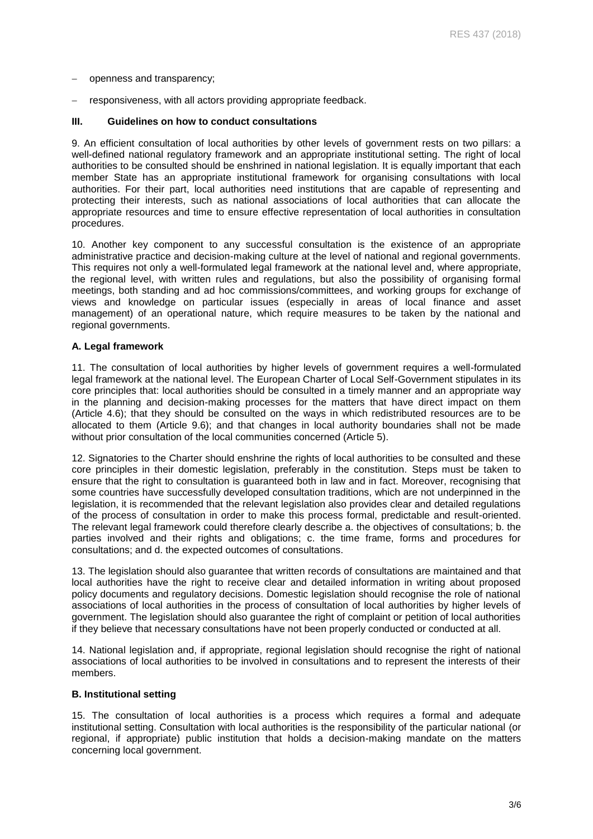- openness and transparency;
- responsiveness, with all actors providing appropriate feedback.

#### **III. Guidelines on how to conduct consultations**

9. An efficient consultation of local authorities by other levels of government rests on two pillars: a well-defined national regulatory framework and an appropriate institutional setting. The right of local authorities to be consulted should be enshrined in national legislation. It is equally important that each member State has an appropriate institutional framework for organising consultations with local authorities. For their part, local authorities need institutions that are capable of representing and protecting their interests, such as national associations of local authorities that can allocate the appropriate resources and time to ensure effective representation of local authorities in consultation procedures.

10. Another key component to any successful consultation is the existence of an appropriate administrative practice and decision-making culture at the level of national and regional governments. This requires not only a well-formulated legal framework at the national level and, where appropriate, the regional level, with written rules and regulations, but also the possibility of organising formal meetings, both standing and ad hoc commissions/committees, and working groups for exchange of views and knowledge on particular issues (especially in areas of local finance and asset management) of an operational nature, which require measures to be taken by the national and regional governments.

#### **A. Legal framework**

11. The consultation of local authorities by higher levels of government requires a well-formulated legal framework at the national level. The European Charter of Local Self-Government stipulates in its core principles that: local authorities should be consulted in a timely manner and an appropriate way in the planning and decision-making processes for the matters that have direct impact on them (Article 4.6); that they should be consulted on the ways in which redistributed resources are to be allocated to them (Article 9.6); and that changes in local authority boundaries shall not be made without prior consultation of the local communities concerned (Article 5).

12. Signatories to the Charter should enshrine the rights of local authorities to be consulted and these core principles in their domestic legislation, preferably in the constitution. Steps must be taken to ensure that the right to consultation is guaranteed both in law and in fact. Moreover, recognising that some countries have successfully developed consultation traditions, which are not underpinned in the legislation, it is recommended that the relevant legislation also provides clear and detailed regulations of the process of consultation in order to make this process formal, predictable and result-oriented. The relevant legal framework could therefore clearly describe a. the objectives of consultations; b. the parties involved and their rights and obligations; c. the time frame, forms and procedures for consultations; and d. the expected outcomes of consultations.

13. The legislation should also guarantee that written records of consultations are maintained and that local authorities have the right to receive clear and detailed information in writing about proposed policy documents and regulatory decisions. Domestic legislation should recognise the role of national associations of local authorities in the process of consultation of local authorities by higher levels of government. The legislation should also guarantee the right of complaint or petition of local authorities if they believe that necessary consultations have not been properly conducted or conducted at all.

14. National legislation and, if appropriate, regional legislation should recognise the right of national associations of local authorities to be involved in consultations and to represent the interests of their members.

## **B. Institutional setting**

15. The consultation of local authorities is a process which requires a formal and adequate institutional setting. Consultation with local authorities is the responsibility of the particular national (or regional, if appropriate) public institution that holds a decision-making mandate on the matters concerning local government.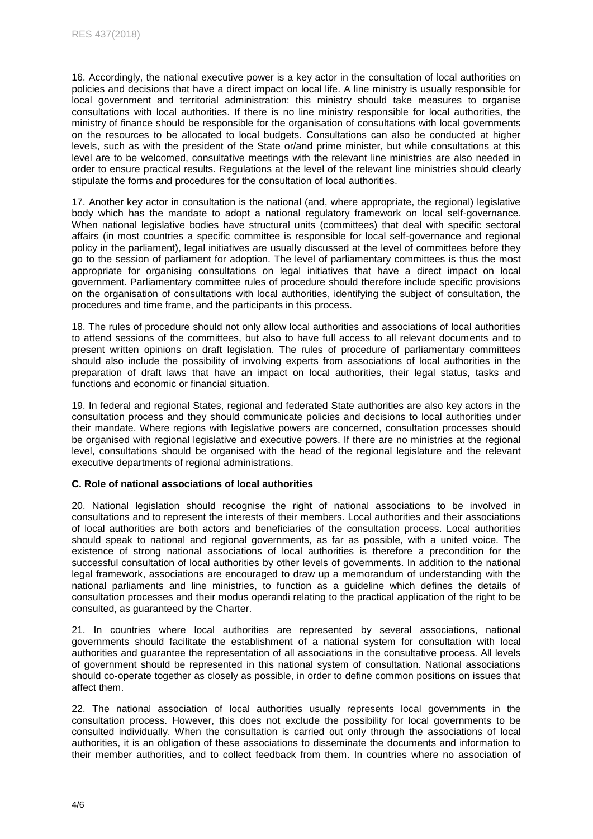16. Accordingly, the national executive power is a key actor in the consultation of local authorities on policies and decisions that have a direct impact on local life. A line ministry is usually responsible for local government and territorial administration: this ministry should take measures to organise consultations with local authorities. If there is no line ministry responsible for local authorities, the ministry of finance should be responsible for the organisation of consultations with local governments on the resources to be allocated to local budgets. Consultations can also be conducted at higher levels, such as with the president of the State or/and prime minister, but while consultations at this level are to be welcomed, consultative meetings with the relevant line ministries are also needed in order to ensure practical results. Regulations at the level of the relevant line ministries should clearly stipulate the forms and procedures for the consultation of local authorities.

17. Another key actor in consultation is the national (and, where appropriate, the regional) legislative body which has the mandate to adopt a national regulatory framework on local self-governance. When national legislative bodies have structural units (committees) that deal with specific sectoral affairs (in most countries a specific committee is responsible for local self-governance and regional policy in the parliament), legal initiatives are usually discussed at the level of committees before they go to the session of parliament for adoption. The level of parliamentary committees is thus the most appropriate for organising consultations on legal initiatives that have a direct impact on local government. Parliamentary committee rules of procedure should therefore include specific provisions on the organisation of consultations with local authorities, identifying the subject of consultation, the procedures and time frame, and the participants in this process.

18. The rules of procedure should not only allow local authorities and associations of local authorities to attend sessions of the committees, but also to have full access to all relevant documents and to present written opinions on draft legislation. The rules of procedure of parliamentary committees should also include the possibility of involving experts from associations of local authorities in the preparation of draft laws that have an impact on local authorities, their legal status, tasks and functions and economic or financial situation.

19. In federal and regional States, regional and federated State authorities are also key actors in the consultation process and they should communicate policies and decisions to local authorities under their mandate. Where regions with legislative powers are concerned, consultation processes should be organised with regional legislative and executive powers. If there are no ministries at the regional level, consultations should be organised with the head of the regional legislature and the relevant executive departments of regional administrations.

## **C. Role of national associations of local authorities**

20. National legislation should recognise the right of national associations to be involved in consultations and to represent the interests of their members. Local authorities and their associations of local authorities are both actors and beneficiaries of the consultation process. Local authorities should speak to national and regional governments, as far as possible, with a united voice. The existence of strong national associations of local authorities is therefore a precondition for the successful consultation of local authorities by other levels of governments. In addition to the national legal framework, associations are encouraged to draw up a memorandum of understanding with the national parliaments and line ministries, to function as a guideline which defines the details of consultation processes and their modus operandi relating to the practical application of the right to be consulted, as guaranteed by the Charter.

21. In countries where local authorities are represented by several associations, national governments should facilitate the establishment of a national system for consultation with local authorities and guarantee the representation of all associations in the consultative process. All levels of government should be represented in this national system of consultation. National associations should co-operate together as closely as possible, in order to define common positions on issues that affect them.

22. The national association of local authorities usually represents local governments in the consultation process. However, this does not exclude the possibility for local governments to be consulted individually. When the consultation is carried out only through the associations of local authorities, it is an obligation of these associations to disseminate the documents and information to their member authorities, and to collect feedback from them. In countries where no association of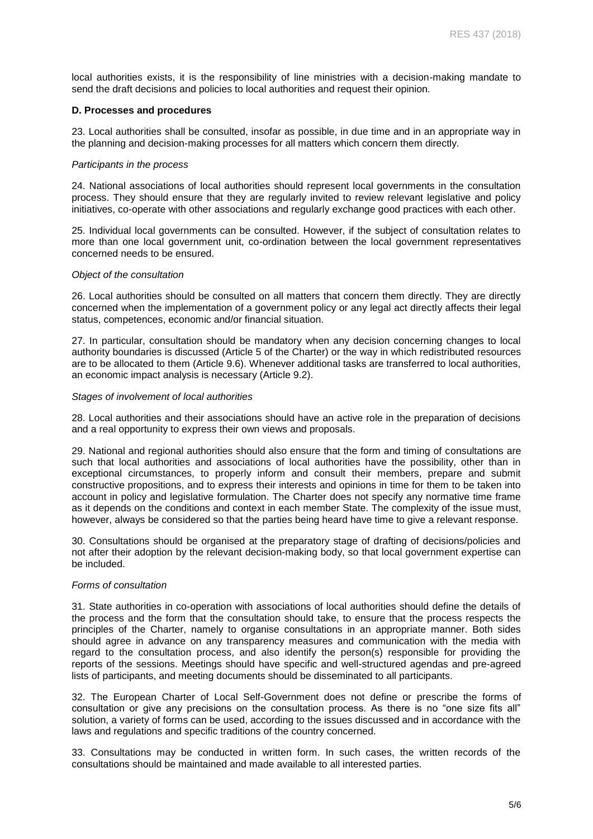local authorities exists, it is the responsibility of line ministries with a decision-making mandate to send the draft decisions and policies to local authorities and request their opinion.

#### **D. Processes and procedures**

23. Local authorities shall be consulted, insofar as possible, in due time and in an appropriate way in the planning and decision-making processes for all matters which concern them directly.

#### *Participants in the process*

24. National associations of local authorities should represent local governments in the consultation process. They should ensure that they are regularly invited to review relevant legislative and policy initiatives, co-operate with other associations and regularly exchange good practices with each other.

25. Individual local governments can be consulted. However, if the subject of consultation relates to more than one local government unit, co-ordination between the local government representatives concerned needs to be ensured.

#### *Object of the consultation*

26. Local authorities should be consulted on all matters that concern them directly. They are directly concerned when the implementation of a government policy or any legal act directly affects their legal status, competences, economic and/or financial situation.

27. In particular, consultation should be mandatory when any decision concerning changes to local authority boundaries is discussed (Article 5 of the Charter) or the way in which redistributed resources are to be allocated to them (Article 9.6). Whenever additional tasks are transferred to local authorities, an economic impact analysis is necessary (Article 9.2).

#### *Stages of involvement of local authorities*

28. Local authorities and their associations should have an active role in the preparation of decisions and a real opportunity to express their own views and proposals.

29. National and regional authorities should also ensure that the form and timing of consultations are such that local authorities and associations of local authorities have the possibility, other than in exceptional circumstances, to properly inform and consult their members, prepare and submit constructive propositions, and to express their interests and opinions in time for them to be taken into account in policy and legislative formulation. The Charter does not specify any normative time frame as it depends on the conditions and context in each member State. The complexity of the issue must, however, always be considered so that the parties being heard have time to give a relevant response.

30. Consultations should be organised at the preparatory stage of drafting of decisions/policies and not after their adoption by the relevant decision-making body, so that local government expertise can be included.

## *Forms of consultation*

31. State authorities in co-operation with associations of local authorities should define the details of the process and the form that the consultation should take, to ensure that the process respects the principles of the Charter, namely to organise consultations in an appropriate manner. Both sides should agree in advance on any transparency measures and communication with the media with regard to the consultation process, and also identify the person(s) responsible for providing the reports of the sessions. Meetings should have specific and well-structured agendas and pre-agreed lists of participants, and meeting documents should be disseminated to all participants.

32. The European Charter of Local Self-Government does not define or prescribe the forms of consultation or give any precisions on the consultation process. As there is no "one size fits all" solution, a variety of forms can be used, according to the issues discussed and in accordance with the laws and regulations and specific traditions of the country concerned.

33. Consultations may be conducted in written form. In such cases, the written records of the consultations should be maintained and made available to all interested parties.